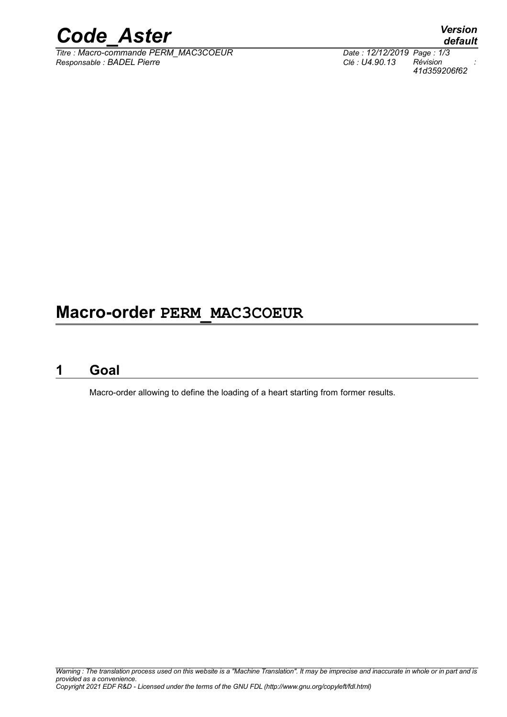

*Titre : Macro-commande PERM\_MAC3COEUR Date : 12/12/2019 Page : 1/3 Responsable : BADEL Pierre Clé : U4.90.13 Révision :*

## **Macro-order PERM\_MAC3COEUR**

### **1 Goal**

Macro-order allowing to define the loading of a heart starting from former results.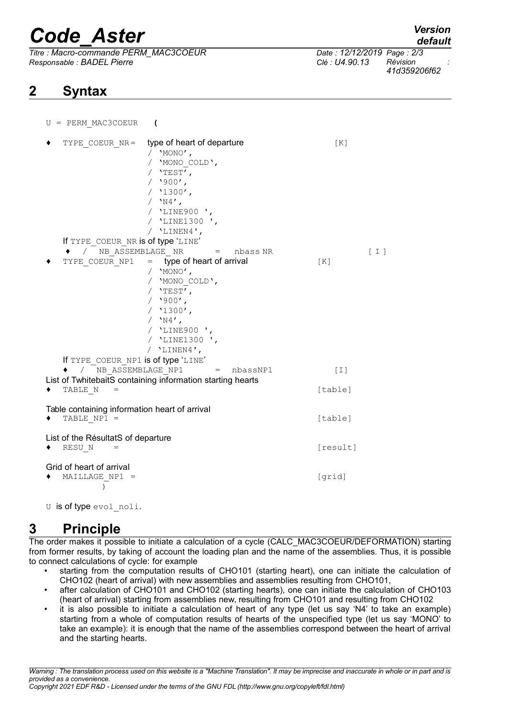# *Code\_Aster Version*

*Titre : Macro-commande PERM\_MAC3COEUR Date : 12/12/2019 Page : 2/3 Responsable : BADEL Pierre Clé : U4.90.13 Révision :*

 $U = PERN MAC3CORU$ R $($ 

## **2 Syntax**

*41d359206f62*

| TYPE COEUR NR=                                                                                                        | type of heart of departure<br>/ $'MONO'$ ,<br>/ 'MONO COLD',<br>/ $'$ TEST',<br>$/$ '900',<br>$/$ '1300',<br>/ $'$ N4',<br>/ 'LINE900 ',<br>'LINE1300 ',<br>/ $'$ LINEN4',     | [K]                 |                     |
|-----------------------------------------------------------------------------------------------------------------------|--------------------------------------------------------------------------------------------------------------------------------------------------------------------------------|---------------------|---------------------|
| If TYPE COEUR NR is of type 'LINE'                                                                                    |                                                                                                                                                                                |                     |                     |
| ◆ / NB ASSEMBLAGE NR                                                                                                  | nbass NR<br>$\epsilon =$                                                                                                                                                       |                     | $\lceil$ I $\rceil$ |
| TYPE_COEUR NP1<br>If TYPE COEUR NP1 is of type 'LINE'                                                                 | $=$ type of heart of arrival<br>/ $'MONO'$ ,<br>/ 'MONO COLD',<br>/ $'$ TEST',<br>$/$ '900',<br>$/$ '1300',<br>/ $'$ N4',<br>/ 'LINE900 ',<br>/ 'LINE1300 ',<br>/ $'$ LINEN4', | [K]                 |                     |
| / NB ASSEMBLAGE NP1<br>nbassNP1<br>٠<br>$=$                                                                           |                                                                                                                                                                                | $\lceil 1 \rceil$   |                     |
| List of TwhitebaitS containing information starting hearts                                                            |                                                                                                                                                                                |                     |                     |
| TABLE N<br>$=$                                                                                                        |                                                                                                                                                                                | [table]             |                     |
| Table containing information heart of arrival<br>TABLE $NP1 =$<br>List of the RésultatS of departure<br>RESU N<br>$=$ |                                                                                                                                                                                | [table]<br>[result] |                     |
| Grid of heart of arrival<br>MAILLAGE NP1 =<br>$\mathcal{E}$                                                           |                                                                                                                                                                                | [grid]              |                     |

U is of type evol noli.

## **3 Principle**

The order makes it possible to initiate a calculation of a cycle (CALC\_MAC3COEUR/DEFORMATION) starting from former results, by taking of account the loading plan and the name of the assemblies. Thus, it is possible to connect calculations of cycle: for example

- starting from the computation results of CHO101 (starting heart), one can initiate the calculation of CHO102 (heart of arrival) with new assemblies and assemblies resulting from CHO101,
- after calculation of CHO101 and CHO102 (starting hearts), one can initiate the calculation of CHO103 (heart of arrival) starting from assemblies new, resulting from CHO101 and resulting from CHO102
- it is also possible to initiate a calculation of heart of any type (let us say 'N4' to take an example) starting from a whole of computation results of hearts of the unspecified type (let us say 'MONO' to take an example): it is enough that the name of the assemblies correspond between the heart of arrival and the starting hearts.

*Warning : The translation process used on this website is a "Machine Translation". It may be imprecise and inaccurate in whole or in part and is provided as a convenience. Copyright 2021 EDF R&D - Licensed under the terms of the GNU FDL (http://www.gnu.org/copyleft/fdl.html)*